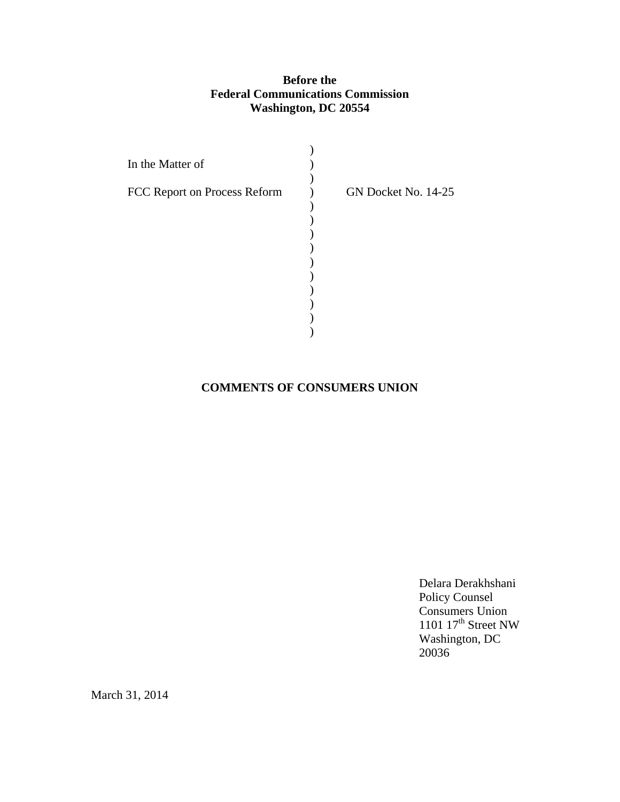# **Before the Federal Communications Commission Washington, DC 20554**

| In the Matter of             |                     |
|------------------------------|---------------------|
| FCC Report on Process Reform | GN Docket No. 14-25 |
|                              |                     |
|                              |                     |
|                              |                     |
|                              |                     |
|                              |                     |

# **COMMENTS OF CONSUMERS UNION**

Delara Derakhshani Policy Counsel Consumers Union 1101  $17<sup>th</sup>$  Street NW Washington, DC 20036

March 31, 2014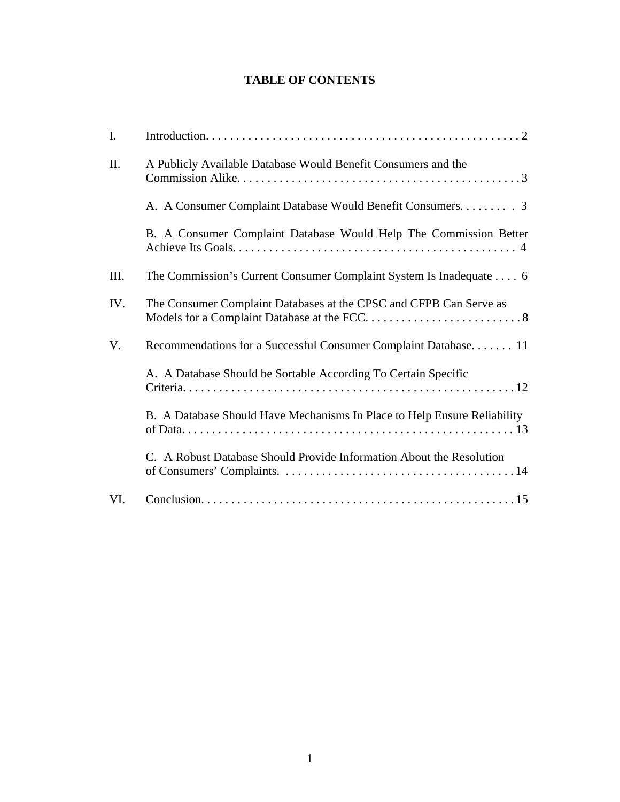# **TABLE OF CONTENTS**

| I.   |                                                                          |  |
|------|--------------------------------------------------------------------------|--|
| II.  | A Publicly Available Database Would Benefit Consumers and the            |  |
|      |                                                                          |  |
|      | B. A Consumer Complaint Database Would Help The Commission Better        |  |
| III. | The Commission's Current Consumer Complaint System Is Inadequate  6      |  |
| IV.  | The Consumer Complaint Databases at the CPSC and CFPB Can Serve as       |  |
| V.   | Recommendations for a Successful Consumer Complaint Database 11          |  |
|      | A. A Database Should be Sortable According To Certain Specific           |  |
|      | B. A Database Should Have Mechanisms In Place to Help Ensure Reliability |  |
|      | C. A Robust Database Should Provide Information About the Resolution     |  |
| VI.  |                                                                          |  |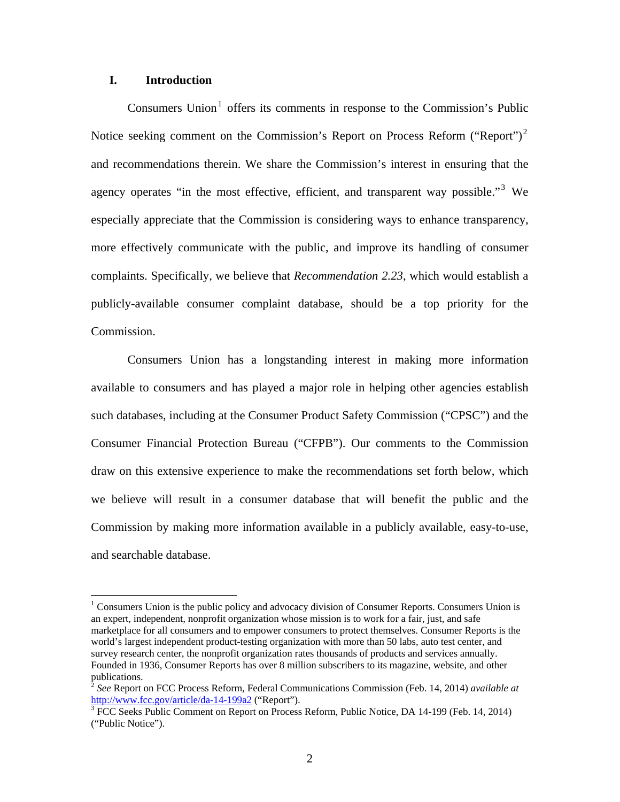## **I. Introduction**

 $\overline{a}$ 

Consumers Union<sup>1</sup> offers its comments in response to the Commission's Public Notice seeking comment on the Commission's Report on Process Reform ("Report")<sup>2</sup> and recommendations therein. We share the Commission's interest in ensuring that the agency operates "in the most effective, efficient, and transparent way possible."<sup>3</sup> We especially appreciate that the Commission is considering ways to enhance transparency, more effectively communicate with the public, and improve its handling of consumer complaints. Specifically, we believe that *Recommendation 2.23*, which would establish a publicly-available consumer complaint database, should be a top priority for the Commission.

Consumers Union has a longstanding interest in making more information available to consumers and has played a major role in helping other agencies establish such databases, including at the Consumer Product Safety Commission ("CPSC") and the Consumer Financial Protection Bureau ("CFPB"). Our comments to the Commission draw on this extensive experience to make the recommendations set forth below, which we believe will result in a consumer database that will benefit the public and the Commission by making more information available in a publicly available, easy-to-use, and searchable database.

 $1$  Consumers Union is the public policy and advocacy division of Consumer Reports. Consumers Union is an expert, independent, nonprofit organization whose mission is to work for a fair, just, and safe marketplace for all consumers and to empower consumers to protect themselves. Consumer Reports is the world's largest independent product-testing organization with more than 50 labs, auto test center, and survey research center, the nonprofit organization rates thousands of products and services annually. Founded in 1936, Consumer Reports has over 8 million subscribers to its magazine, website, and other publications.

<sup>2</sup> *See* Report on FCC Process Reform, Federal Communications Commission (Feb. 14, 2014) *available at* http://www.fcc.gov/article/da-14-199a2 ("Report").

<sup>&</sup>lt;sup>3</sup> FCC Seeks Public Comment on Report on Process Reform, Public Notice, DA 14-199 (Feb. 14, 2014) ("Public Notice").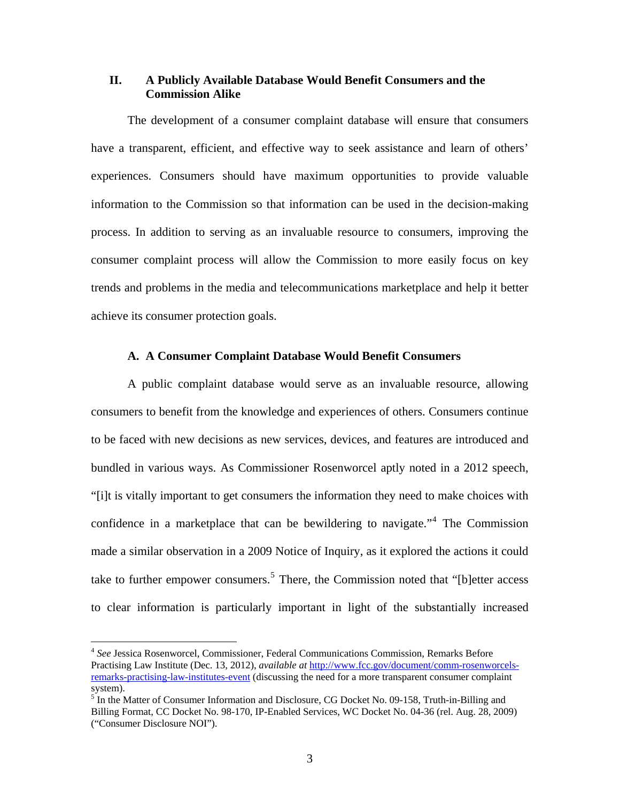## **II. A Publicly Available Database Would Benefit Consumers and the Commission Alike**

 The development of a consumer complaint database will ensure that consumers have a transparent, efficient, and effective way to seek assistance and learn of others' experiences. Consumers should have maximum opportunities to provide valuable information to the Commission so that information can be used in the decision-making process. In addition to serving as an invaluable resource to consumers, improving the consumer complaint process will allow the Commission to more easily focus on key trends and problems in the media and telecommunications marketplace and help it better achieve its consumer protection goals.

#### **A. A Consumer Complaint Database Would Benefit Consumers**

A public complaint database would serve as an invaluable resource, allowing consumers to benefit from the knowledge and experiences of others. Consumers continue to be faced with new decisions as new services, devices, and features are introduced and bundled in various ways. As Commissioner Rosenworcel aptly noted in a 2012 speech, "[i]t is vitally important to get consumers the information they need to make choices with confidence in a marketplace that can be bewildering to navigate."[4](#page-3-0) The Commission made a similar observation in a 2009 Notice of Inquiry, as it explored the actions it could take to further empower consumers.<sup>[5](#page-3-1)</sup> There, the Commission noted that "[b]etter access to clear information is particularly important in light of the substantially increased

<u>.</u>

<span id="page-3-0"></span><sup>4</sup> *See* Jessica Rosenworcel, Commissioner, Federal Communications Commission, Remarks Before Practising Law Institute (Dec. 13, 2012), *available at* http://www.fcc.gov/document/comm-rosenworcelsremarks-practising-law-institutes-event (discussing the need for a more transparent consumer complaint system).

<span id="page-3-1"></span><sup>&</sup>lt;sup>5</sup> In the Matter of Consumer Information and Disclosure, CG Docket No. 09-158, Truth-in-Billing and Billing Format, CC Docket No. 98-170, IP-Enabled Services, WC Docket No. 04-36 (rel. Aug. 28, 2009) ("Consumer Disclosure NOI").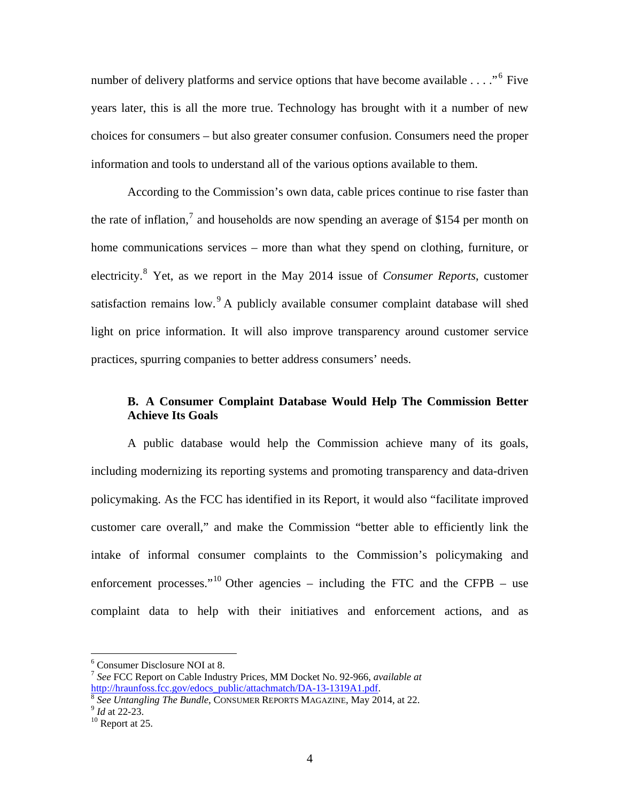number of delivery platforms and service options that have become available  $\dots$ ."<sup>6</sup> Five years later, this is all the more true. Technology has brought with it a number of new choices for consumers – but also greater consumer confusion. Consumers need the proper information and tools to understand all of the various options available to them.

According to the Commission's own data, cable prices continue to rise faster than the rate of inflation,<sup>[7](#page-4-0)</sup> and households are now spending an average of \$154 per month on home communications services – more than what they spend on clothing, furniture, or electricity.[8](#page-4-1) Yet, as we report in the May 2014 issue of *Consumer Reports*, customer satisfaction remains low.  $A$  publicly available consumer complaint database will shed light on price information. It will also improve transparency around customer service practices, spurring companies to better address consumers' needs.

# **B. A Consumer Complaint Database Would Help The Commission Better Achieve Its Goals**

 A public database would help the Commission achieve many of its goals, including modernizing its reporting systems and promoting transparency and data-driven policymaking. As the FCC has identified in its Report, it would also "facilitate improved customer care overall," and make the Commission "better able to efficiently link the intake of informal consumer complaints to the Commission's policymaking and enforcement processes."<sup>10</sup> Other agencies – including the FTC and the CFPB – use [complaint data to help with their initiatives and enforcement actions, and as](#page-4-2) 

<sup>6</sup> Consumer Disclosure NOI at 8.

<span id="page-4-0"></span><sup>7</sup> *See* FCC Report on Cable Industry Prices, MM Docket No. 92-966, *available at*

<span id="page-4-1"></span>http://hraunfoss.fcc.gov/edocs\_public/attachmatch/DA-13-1319A1.pdf. 8 *See Untangling The Bundle*, CONSUMER REPORTS MAGAZINE, May 2014, at 22. 9 *Id* at 22-23. 10 Report at 25.

<span id="page-4-2"></span>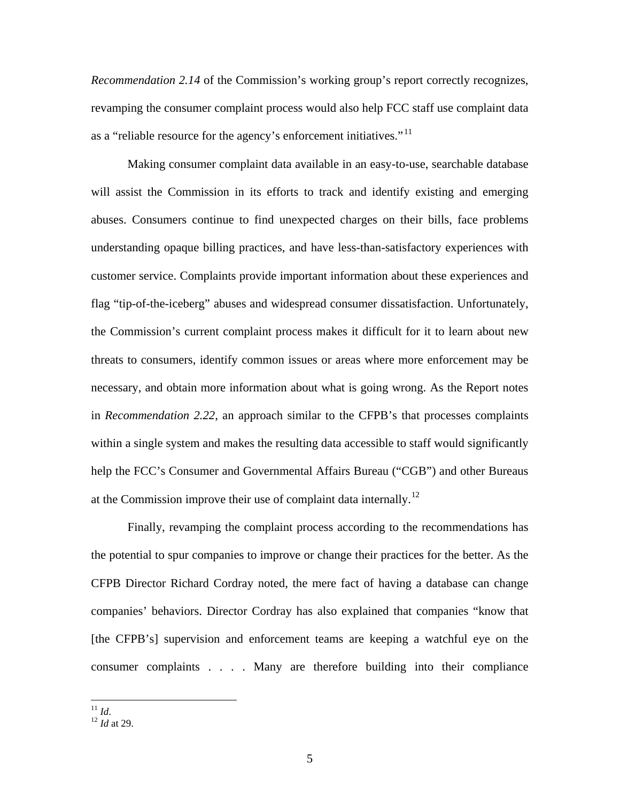*Recommendation 2.14* [of the Commission's working group's report correctly recognizes,](#page-4-2)  [revamping the consumer complaint process would also help FCC staff use complaint data](#page-4-2)  [as a "reliable resource for the agency's enforcement initiatives."](#page-4-2)<sup>11</sup>

Making consumer complaint data available in an easy-to-use, searchable database will assist the Commission in its efforts to track and identify existing and emerging abuses. Consumers continue to find unexpected charges on their bills, face problems understanding opaque billing practices, and have less-than-satisfactory experiences with customer service. Complaints provide important information about these experiences and flag "tip-of-the-iceberg" abuses and widespread consumer dissatisfaction. Unfortunately, the Commission's current complaint process makes it difficult for it to learn about new threats to consumers, identify common issues or areas where more enforcement may be necessary, and obtain more information about what is going wrong. As the Report notes in *Recommendation 2.22*, an approach similar to the CFPB's that processes complaints within a single system and makes the resulting data accessible to staff would significantly help the FCC's Consumer and Governmental Affairs Bureau ("CGB") and other Bureaus at the Commission improve their use of complaint data internally.<sup>[12](#page-5-1)</sup>

Finally, revamping the complaint process according to the recommendations has the potential to spur companies to improve or change their practices for the better. As the CFPB Director Richard Cordray noted, the mere fact of having a database can change companies' behaviors. Director Cordray has also explained that companies "know that [the CFPB's] supervision and enforcement teams are keeping a watchful eye on the consumer complaints . . . . Many are therefore building into their compliance

<span id="page-5-1"></span><span id="page-5-0"></span><sup>&</sup>lt;sup>11</sup> *Id*.<br><sup>12</sup> *Id* at 29.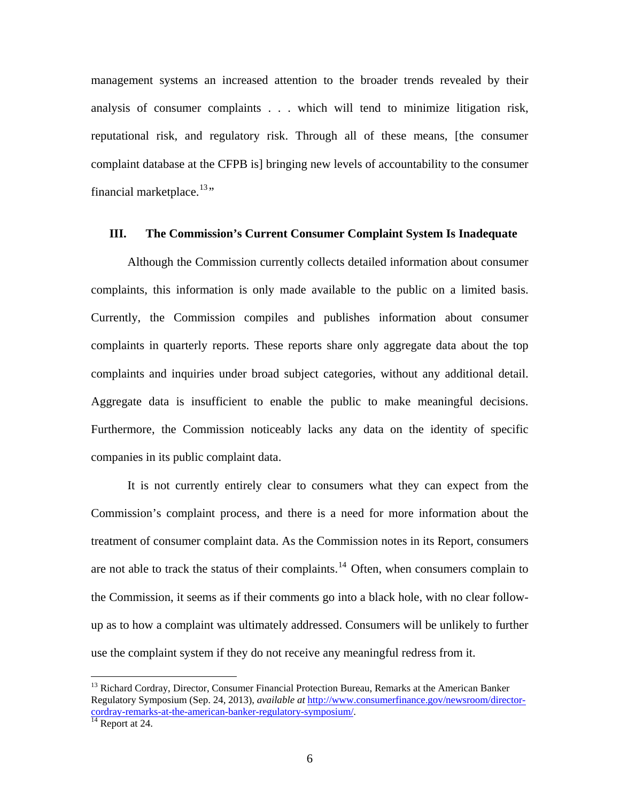management systems an increased attention to the broader trends revealed by their analysis of consumer complaints . . . which will tend to minimize litigation risk, reputational risk, and regulatory risk. Through all of these means, [the consumer complaint database at the CFPB is] bringing new levels of accountability to the consumer financial marketplace. $13$ "

## **III. The Commission's Current Consumer Complaint System Is Inadequate**

Although the Commission currently collects detailed information about consumer complaints, this information is only made available to the public on a limited basis. Currently, the Commission compiles and publishes information about consumer complaints in quarterly reports. These reports share only aggregate data about the top complaints and inquiries under broad subject categories, without any additional detail. Aggregate data is insufficient to enable the public to make meaningful decisions. Furthermore, the Commission noticeably lacks any data on the identity of specific companies in its public complaint data.

It is not currently entirely clear to consumers what they can expect from the Commission's complaint process, and there is a need for more information about the treatment of consumer complaint data. As the Commission notes in its Report, consumers are not able to track the status of their complaints.<sup>14</sup> Often, when consumers complain to [the Commission, it seems as if their comments go into a black hole, with no clear follow](#page-6-1)[up as to how a complaint was ultimately addressed. Consumers will be unlikely to further](#page-6-1)  [use the complaint system if they do not receive any meaningful redress from it.](#page-6-1) 

<u>.</u>

<span id="page-6-0"></span><sup>&</sup>lt;sup>13</sup> Richard Cordray, Director, Consumer Financial Protection Bureau, Remarks at the American Banker Regulatory Symposium (Sep. 24, 2013), *available at* http://www.consumerfinance.gov/newsroom/directorcordray-remarks-at-the-american-banker-regulatory-symposium/.

<span id="page-6-1"></span>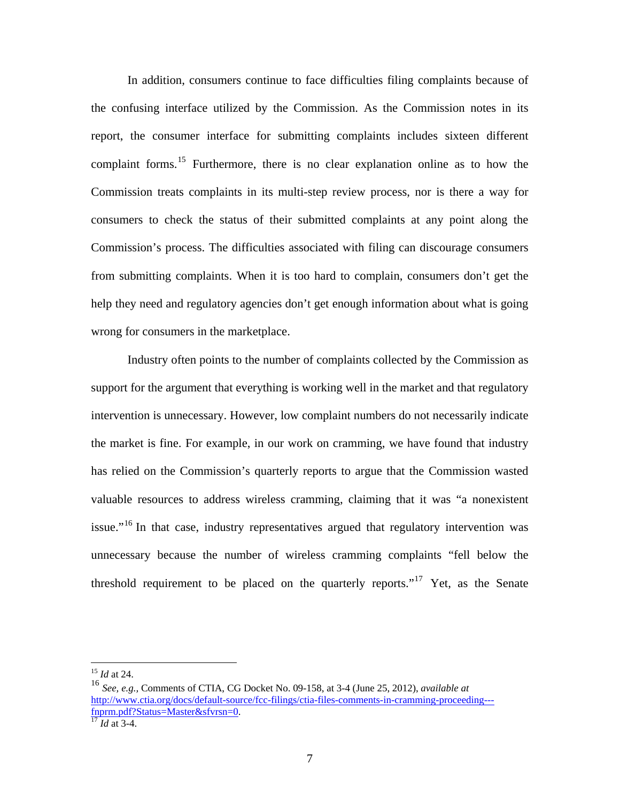In addition, consumers continue to face difficulties filing complaints because of the confusing interface utilized by the Commission. As the Commission notes in its report, the consumer interface for submitting complaints includes sixteen different complaint forms.<sup>[15](#page-7-0)</sup> Furthermore, there is no clear explanation online as to how the Commission treats complaints in its multi-step review process, nor is there a way for consumers to check the status of their submitted complaints at any point along the Commission's process. The difficulties associated with filing can discourage consumers from submitting complaints. When it is too hard to complain, consumers don't get the help they need and regulatory agencies don't get enough information about what is going wrong for consumers in the marketplace.

Industry often points to the number of complaints collected by the Commission as support for the argument that everything is working well in the market and that regulatory intervention is unnecessary. However, low complaint numbers do not necessarily indicate the market is fine. For example, in our work on cramming, we have found that industry has relied on the Commission's quarterly reports to argue that the Commission wasted valuable resources to address wireless cramming, claiming that it was "a nonexistent issue."<sup>16</sup> In that case, industry representatives argued that regulatory intervention was [unnecessary because the number of wireless cramming complaints "fell below the](#page-7-1)  [threshold requirement to be placed on the quarterly reports."](#page-7-1)<sup>17</sup> Yet, as the Senate

<sup>15</sup> *Id* at 24.

<span id="page-7-1"></span><span id="page-7-0"></span><sup>16</sup> *See, e.g.,* Comments of CTIA, CG Docket No. 09-158, at 3-4 (June 25, 2012), *available at* http://www.ctia.org/docs/default-source/fcc-filings/ctia-files-comments-in-cramming-proceeding-- fnprm.pdf?Status=Master&sfvrsn=0. 17 *Id* at 3-4.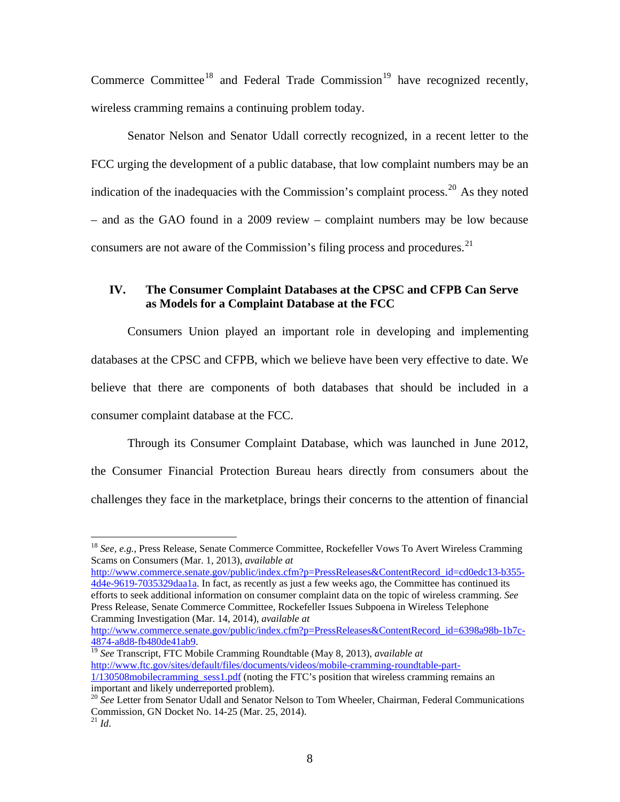Commerce Committee<sup>[18](#page-8-0)</sup> and Federal Trade Commission<sup>[19](#page-8-1)</sup> have recognized recently, wireless cramming remains a continuing problem today.

Senator Nelson and Senator Udall correctly recognized, in a recent letter to the FCC urging the development of a public database, that low complaint numbers may be an indication of the inadequacies with the Commission's complaint process.<sup>[20](#page-8-2)</sup> As they noted [– and as the GAO found in a 2009 review – complaint numbers may be low because](#page-8-3)  [consumers are not aware of the Commission's filing process and procedures.](#page-8-3) $2<sup>1</sup>$ 

# **IV. The Consumer Complaint Databases at the CPSC and CFPB Can Serve as Models for a Complaint Database at the FCC**

Consumers Union played an important role in developing and implementing databases at the CPSC and CFPB, which we believe have been very effective to date. We believe that there are components of both databases that should be included in a consumer complaint database at the FCC.

Through its Consumer Complaint Database, which was launched in June 2012, the Consumer Financial Protection Bureau hears directly from consumers about the challenges they face in the marketplace, brings their concerns to the attention of financial

 $\overline{a}$ 

http://www.commerce.senate.gov/public/index.cfm?p=PressReleases&ContentRecord\_id=cd0edc13-b355- 4d4e-9619-7035329daa1a. In fact, as recently as just a few weeks ago, the Committee has continued its efforts to seek additional information on consumer complaint data on the topic of wireless cramming. *See* Press Release, Senate Commerce Committee, Rockefeller Issues Subpoena in Wireless Telephone Cramming Investigation (Mar. 14, 2014), *available at*

http://www.commerce.senate.gov/public/index.cfm?p=PressReleases&ContentRecord\_id=6398a98b-1b7c-4874-a8d8-fb480de41ab9. 19 *See* Transcript, FTC Mobile Cramming Roundtable (May 8, 2013), *available at*

<span id="page-8-1"></span>http://www.ftc.gov/sites/default/files/documents/videos/mobile-cramming-roundtable-part-1/130508mobilecramming\_sess1.pdf (noting the FTC's position that wireless cramming remains an important and likely underreported problem).

<span id="page-8-0"></span><sup>18</sup> *See, e.g.,* Press Release, Senate Commerce Committee, Rockefeller Vows To Avert Wireless Cramming Scams on Consumers (Mar. 1, 2013), *available at*

<span id="page-8-3"></span><span id="page-8-2"></span><sup>&</sup>lt;sup>20</sup> See Letter from Senator Udall and Senator Nelson to Tom Wheeler, Chairman, Federal Communications Commission, GN Docket No. 14-25 (Mar. 25, 2014). <sup>21</sup> *Id*.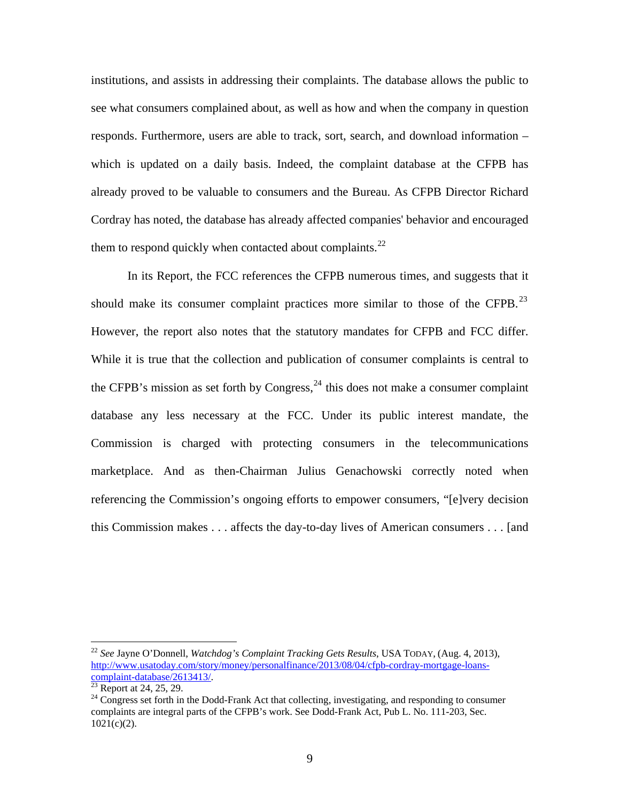institutions, and assists in addressing their complaints. The database allows the public to see what consumers complained about, as well as how and when the company in question responds. Furthermore, users are able to track, sort, search, and download information – which is updated on a daily basis. Indeed, the complaint database at the CFPB has already proved to be valuable to consumers and the Bureau. As CFPB Director Richard Cordray has noted, the database has already affected companies' behavior and encouraged them to respond quickly when contacted about complaints. $^{22}$  $^{22}$  $^{22}$ 

In its Report, the FCC references the CFPB numerous times, and suggests that it should make its consumer complaint practices more similar to those of the CFPB.<sup>23</sup> However, the report also notes that the statutory mandates for CFPB and FCC differ. While it is true that the collection and publication of consumer complaints is central to the CFPB's mission as set forth by Congress,  $^{24}$  $^{24}$  $^{24}$  this does not make a consumer complaint database any less necessary at the FCC. Under its public interest mandate, the Commission is charged with protecting consumers in the telecommunications marketplace. And as then-Chairman Julius Genachowski correctly noted when referencing the Commission's ongoing efforts to empower consumers, "[e]very decision this Commission makes . . . affects the day-to-day lives of American consumers . . . [and

<u>.</u>

<span id="page-9-0"></span><sup>22</sup> *See* Jayne O'Donnell, *Watchdog's Complaint Tracking Gets Results*, USA TODAY, (Aug. 4, 2013), http://www.usatoday.com/story/money/personalfinance/2013/08/04/cfpb-cordray-mortgage-loans- $\frac{\text{complant-database}/2613413}{\text{23}}$  Report at 24, 25, 29.

<span id="page-9-1"></span><sup>&</sup>lt;sup>24</sup> Congress set forth in the Dodd-Frank Act that collecting, investigating, and responding to consumer complaints are integral parts of the CFPB's work. See Dodd-Frank Act, Pub L. No. 111-203, Sec.  $1021(c)(2)$ .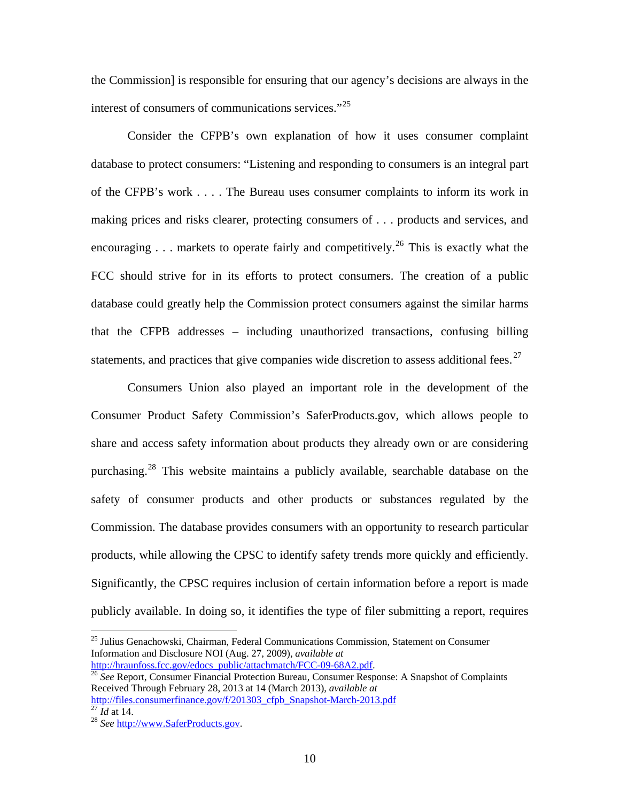the Commission] is responsible for ensuring that our agency's decisions are always in the interest of consumers of communications services."<sup>25</sup>

Consider the CFPB's own explanation of how it uses consumer complaint database to protect consumers: "Listening and responding to consumers is an integral part of the CFPB's work . . . . The Bureau uses consumer complaints to inform its work in making prices and risks clearer, protecting consumers of . . . products and services, and encouraging  $\ldots$  markets to operate fairly and competitively.<sup>[26](#page-10-1)</sup> This is exactly what the FCC should strive for in its efforts to protect consumers. The creation of a public database could greatly help the Commission protect consumers against the similar harms that the CFPB addresses – including unauthorized transactions, confusing billing statements, and practices that give companies wide discretion to assess additional fees.<sup>27</sup>

Consumers Union also played an important role in the development of the Consumer Product Safety Commission's SaferProducts.gov, which allows people to share and access safety information about products they already own or are considering purchasing.<sup>[28](#page-10-2)</sup> This website maintains a publicly available, searchable database on the safety of consumer products and other products or substances regulated by the Commission. The database provides consumers with an opportunity to research particular products, while allowing the CPSC to identify safety trends more quickly and efficiently. Significantly, the CPSC requires inclusion of certain information before a report is made publicly available. In doing so, it identifies the type of filer submitting a report, requires

1

<span id="page-10-0"></span><sup>25</sup> Julius Genachowski, Chairman, Federal Communications Commission, Statement on Consumer Information and Disclosure NOI (Aug. 27, 2009), *available at*

<span id="page-10-1"></span><sup>&</sup>lt;sup>26</sup> See Report, Consumer Financial Protection Bureau, Consumer Response: A Snapshot of Complaints Received Through February 28, 2013 at 14 (March 2013), *available at* http://files.consumerfinance.gov/f/201303\_cfpb\_Snapshot-March-2013.pdf <sup>27</sup> *Id* at 14.<br><sup>28</sup> *See* http://www.SaferProducts.gov.

<span id="page-10-2"></span>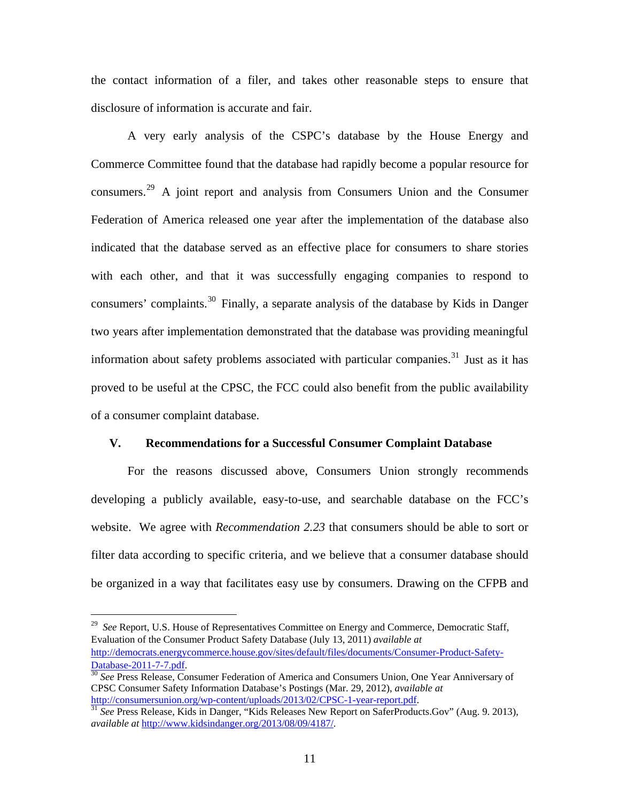the contact information of a filer, and takes other reasonable steps to ensure that disclosure of information is accurate and fair.

A very early analysis of the CSPC's database by the House Energy and Commerce Committee found that the database had rapidly become a popular resource for consumers.<sup>[29](#page-11-0)</sup> A joint report and analysis from Consumers Union and the Consumer [Federation of America released one year after the implementation of the database also](#page-11-1)  [indicated that the database served as an effective place for consumers to share stories](#page-11-1)  [with each other, and that it was successfully engaging companies to respond to](#page-11-1)  [consumers' complaints.](#page-11-1)<sup>30</sup> Finally, a separate analysis of the database by Kids in Danger [two years after implementation demonstrated that the database was providing meaningful](#page-11-2)  [information about safety problems associated with particular companies.](#page-11-2) 31 Just as it has proved to be useful at the CPSC, the FCC could also benefit from the public availability of a consumer complaint database.

#### **V. Recommendations for a Successful Consumer Complaint Database**

For the reasons discussed above, Consumers Union strongly recommends developing a publicly available, easy-to-use, and searchable database on the FCC's website. We agree with *Recommendation 2.23* that consumers should be able to sort or filter data according to specific criteria, and we believe that a consumer database should be organized in a way that facilitates easy use by consumers. Drawing on the CFPB and

<span id="page-11-0"></span><sup>29</sup> *See* Report, U.S. House of Representatives Committee on Energy and Commerce, Democratic Staff, Evaluation of the Consumer Product Safety Database (July 13, 2011) *available at* http://democrats.energycommerce.house.gov/sites/default/files/documents/Consumer-Product-Safety-

<span id="page-11-1"></span>Database-2011-7-7.pdf. 30 *See* Press Release, Consumer Federation of America and Consumers Union, One Year Anniversary of CPSC Consumer Safety Information Database's Postings (Mar. 29, 2012), *available at*

<span id="page-11-2"></span><sup>&</sup>lt;sup>31</sup> See Press Release, Kids in Danger, "Kids Releases New Report on SaferProducts.Gov" (Aug. 9. 2013), *available at* http://www.kidsindanger.org/2013/08/09/4187/.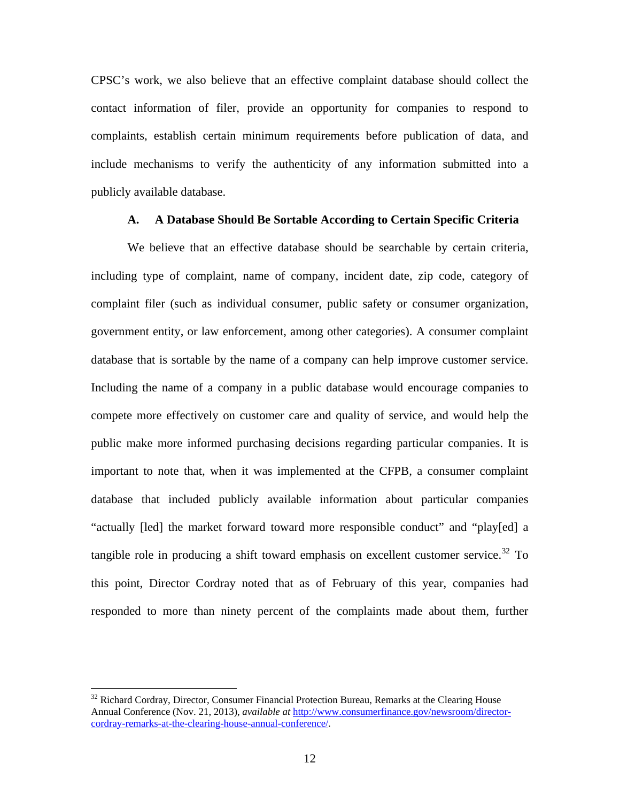CPSC's work, we also believe that an effective complaint database should collect the contact information of filer, provide an opportunity for companies to respond to complaints, establish certain minimum requirements before publication of data, and include mechanisms to verify the authenticity of any information submitted into a publicly available database.

#### **A. A Database Should Be Sortable According to Certain Specific Criteria**

We believe that an effective database should be searchable by certain criteria, including type of complaint, name of company, incident date, zip code, category of complaint filer (such as individual consumer, public safety or consumer organization, government entity, or law enforcement, among other categories). A consumer complaint database that is sortable by the name of a company can help improve customer service. Including the name of a company in a public database would encourage companies to compete more effectively on customer care and quality of service, and would help the public make more informed purchasing decisions regarding particular companies. It is important to note that, when it was implemented at the CFPB, a consumer complaint database that included publicly available information about particular companies "actually [led] the market forward toward more responsible conduct" and "play[ed] a tangible role in producing a shift toward emphasis on excellent customer service.<sup>[32](#page-12-0)</sup> To this point, Director Cordray noted that as of February of this year, companies had responded to more than ninety percent of the complaints made about them, further

1

<span id="page-12-0"></span><sup>&</sup>lt;sup>32</sup> Richard Cordray, Director, Consumer Financial Protection Bureau, Remarks at the Clearing House Annual Conference (Nov. 21, 2013), *available at* http://www.consumerfinance.gov/newsroom/directorcordray-remarks-at-the-clearing-house-annual-conference/.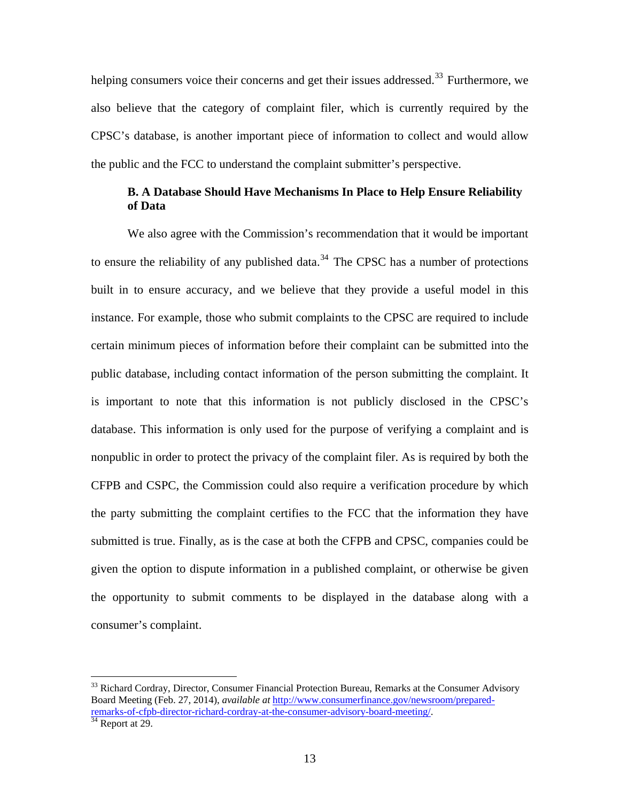helping consumers voice their concerns and get their issues addressed.<sup>33</sup> Furthermore, we [also believe that the category of complaint filer, which is currently required by the](#page-13-0)  [CPSC's database, is another important piece of information to collect and would allow](#page-13-0)  [the public and the FCC to understand the complaint submitter's perspective.](#page-13-0) 

# **B. A Database Should Have Mechanisms In Place to Help Ensure Reliability of Data**

We also agree with the Commission's recommendation that it would be important to ensure the reliability of any published data.<sup>34</sup> The CPSC has a number of protections [built in to ensure accuracy, and we believe that they provide a useful model in this](#page-13-1)  [instance. For example, those who submit complaints to the CPSC are required to include](#page-13-1)  [certain minimum pieces of information before their complaint can be submitted into the](#page-13-1)  [public database, including contact information of the person submitting the complaint. It](#page-13-1)  [is important to note that this information is not publicly disclosed in the CPSC's](#page-13-1)  [database. This information is only used for the purpose of verifying a complaint and is](#page-13-1)  [nonpublic in order to protect the privacy of the complaint filer. As is required by both the](#page-13-1)  [CFPB and CSPC, the Commission could also require a verification procedure by which](#page-13-1)  [the party submitting the complaint certifies to the FCC that the information they have](#page-13-1)  [submitted is true. Finally, as is the case at both the CFPB and CPSC, companies could be](#page-13-1)  [given the option to dispute information in a published complaint, or otherwise be given](#page-13-1)  [the opportunity to submit comments to be displayed in the database along with a](#page-13-1)  [consumer's complaint.](#page-13-1) 

<span id="page-13-0"></span><sup>&</sup>lt;sup>33</sup> Richard Cordray, Director, Consumer Financial Protection Bureau, Remarks at the Consumer Advisory Board Meeting (Feb. 27, 2014), *available at* http://www.consumerfinance.gov/newsroom/preparedremarks-of-cfpb-director-richard-cordray-at-the-consumer-advisory-board-meeting.

<span id="page-13-1"></span>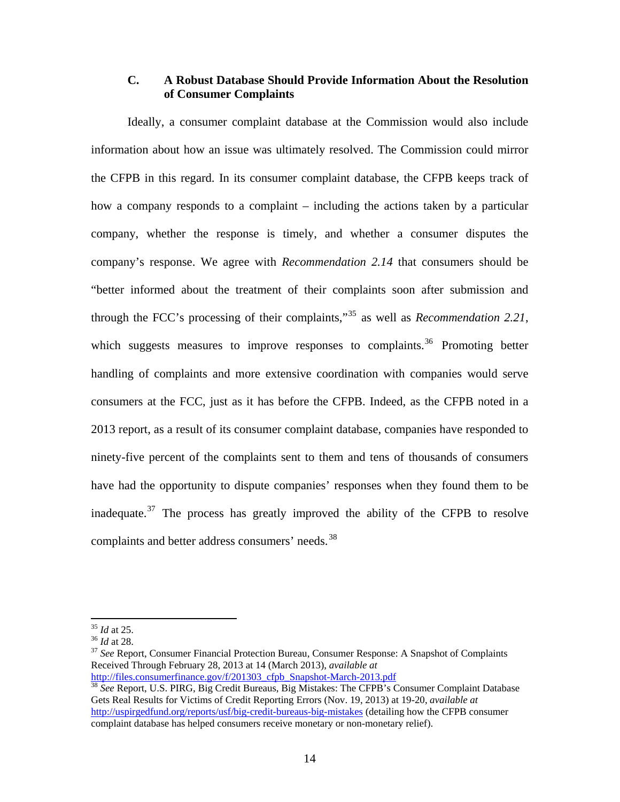# **C. A Robust Database Should Provide Information About the Resolution of Consumer Complaints**

Ideally, a consumer complaint database at the Commission would also include information about how an issue was ultimately resolved. The Commission could mirror the CFPB in this regard. In its consumer complaint database, the CFPB keeps track of how a company responds to a complaint – including the actions taken by a particular company, whether the response is timely, and whether a consumer disputes the company's response. We agree with *Recommendation 2.14* that consumers should be "better informed about the treatment of their complaints soon after submission and through the FCC's processing of their complaints,"[35](#page-14-0) as well as *Recommendation 2.21*, which suggests measures to improve responses to complaints.<sup>[36](#page-14-1)</sup> Promoting better [handling of complaints and more extensive coordination with companies would serve](#page-14-2)  [consumers at the FCC, just as it has before the CFPB. Indeed, as the CFPB noted in a](#page-14-2)  [2013 report, as a result of its consumer complaint database, companies have responded to](#page-14-2)  [ninety-five percent of the complaints sent to them and tens of thousands of consumers](#page-14-2)  [have had the opportunity to dispute companies' responses when they found them to be](#page-14-2)  [inadequate.](#page-14-2)<sup>37</sup> The process has greatly improved the ability of the CFPB to resolve [complaints and better address consumers' needs.](#page-14-3)<sup>38</sup>

<span id="page-14-0"></span> $35$  *Id* at 25.

<span id="page-14-2"></span><span id="page-14-1"></span><sup>&</sup>lt;sup>36</sup> *Id* at 28.<br><sup>37</sup> *See* Report, Consumer Financial Protection Bureau, Consumer Response: A Snapshot of Complaints Received Through February 28, 2013 at 14 (March 2013), *available at*

<span id="page-14-3"></span>http://files.consumerfinance.gov/f/201303\_cfpb\_Snapshot-March-2013.pdf <sup>38</sup> *See* Report, U.S. PIRG, Big Credit Bureaus, Big Mistakes: The CFPB's Consumer Complaint Database Gets Real Results for Victims of Credit Reporting Errors (Nov. 19, 2013) at 19-20, *available at* http://uspirgedfund.org/reports/usf/big-credit-bureaus-big-mistakes (detailing how the CFPB consumer complaint database has helped consumers receive monetary or non-monetary relief).